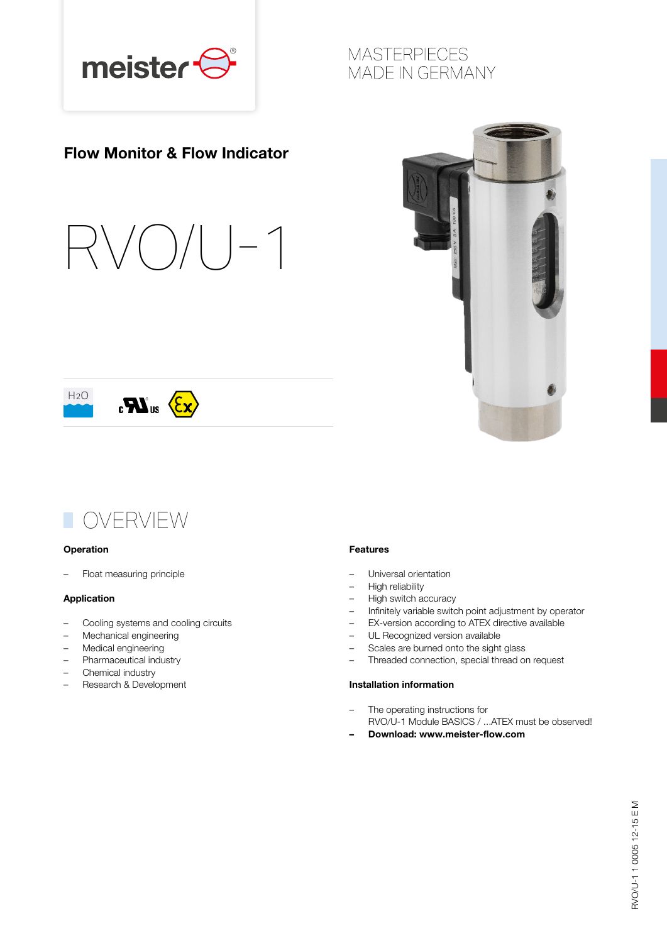

### Flow Monitor & Flow Indicator











#### **Operation**

– Float measuring principle

#### Application

- Cooling systems and cooling circuits
- Mechanical engineering
- Medical engineering
- Pharmaceutical industry
- Chemical industry
- Research & Development

#### Features

- Universal orientation
- High reliability
- High switch accuracy
- Infinitely variable switch point adjustment by operator
- EX-version according to ATEX directive available
- UL Recognized version available
- Scales are burned onto the sight glass
- Threaded connection, special thread on request

#### Installation information

- The operating instructions for RVO/U-1 Module BASICS / ...ATEX must be observed!
	- Download: www.meister-flow.com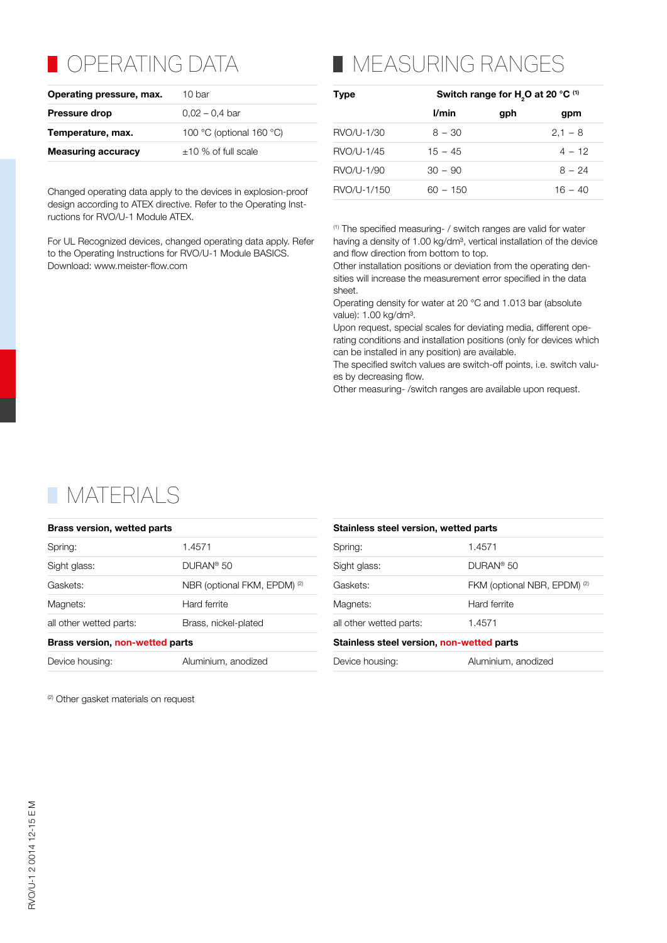### **OPERATING DATA**

| Operating pressure, max.  | 10 bar                   |
|---------------------------|--------------------------|
| <b>Pressure drop</b>      | $0.02 - 0.4$ bar         |
| Temperature, max.         | 100 °C (optional 160 °C) |
| <b>Measuring accuracy</b> | $\pm$ 10 % of full scale |
|                           |                          |

Changed operating data apply to the devices in explosion-proof design according to ATEX directive. Refer to the Operating Instructions for RVO/U-1 Module ATEX.

For UL Recognized devices, changed operating data apply. Refer to the Operating Instructions for RVO/U-1 Module BASICS. Download: www.meister-flow.com

# **NEASURING RANGES**

| Switch range for H <sub>2</sub> O at 20 °C <sup>(1)</sup> |     |           |  |  |
|-----------------------------------------------------------|-----|-----------|--|--|
| l/min                                                     | gph | gpm       |  |  |
| $8 - 30$                                                  |     | $2.1 - 8$ |  |  |
| $15 - 45$                                                 |     | $4 - 12$  |  |  |
| $30 - 90$                                                 |     | $8 - 24$  |  |  |
| $60 - 150$                                                |     | $16 - 40$ |  |  |
|                                                           |     |           |  |  |

(1) The specified measuring- / switch ranges are valid for water having a density of 1.00 kg/dm<sup>3</sup>, vertical installation of the device and flow direction from bottom to top.

Other installation positions or deviation from the operating densities will increase the measurement error specified in the data sheet.

Operating density for water at 20 °C and 1.013 bar (absolute value): 1.00 kg/dm<sup>3</sup>.

Upon request, special scales for deviating media, different operating conditions and installation positions (only for devices which can be installed in any position) are available.

The specified switch values are switch-off points, i.e. switch values by decreasing flow.

Other measuring- /switch ranges are available upon request.

### **NATERIALS**

| <b>Brass version, wetted parts</b> |                                         | Stainless steel version, wetted parts     |                                         |  |  |
|------------------------------------|-----------------------------------------|-------------------------------------------|-----------------------------------------|--|--|
| Spring:                            | 1.4571                                  | Spring:                                   | 1.4571                                  |  |  |
| Sight glass:                       | DUPAN <sup>®</sup> 50                   | Sight glass:                              | DURAN <sup>®</sup> 50                   |  |  |
| Gaskets:                           | NBR (optional FKM, EPDM) <sup>(2)</sup> | Gaskets:                                  | FKM (optional NBR, EPDM) <sup>(2)</sup> |  |  |
| Magnets:                           | Hard ferrite                            | Magnets:                                  | Hard ferrite                            |  |  |
| all other wetted parts:            | Brass, nickel-plated                    | all other wetted parts:                   | 1.4571                                  |  |  |
| Brass version, non-wetted parts    |                                         | Stainless steel version, non-wetted parts |                                         |  |  |
| Device housing:                    | Aluminium, anodized                     | Device housing:                           | Aluminium, anodized                     |  |  |
|                                    |                                         |                                           |                                         |  |  |

<sup>(2)</sup> Other gasket materials on request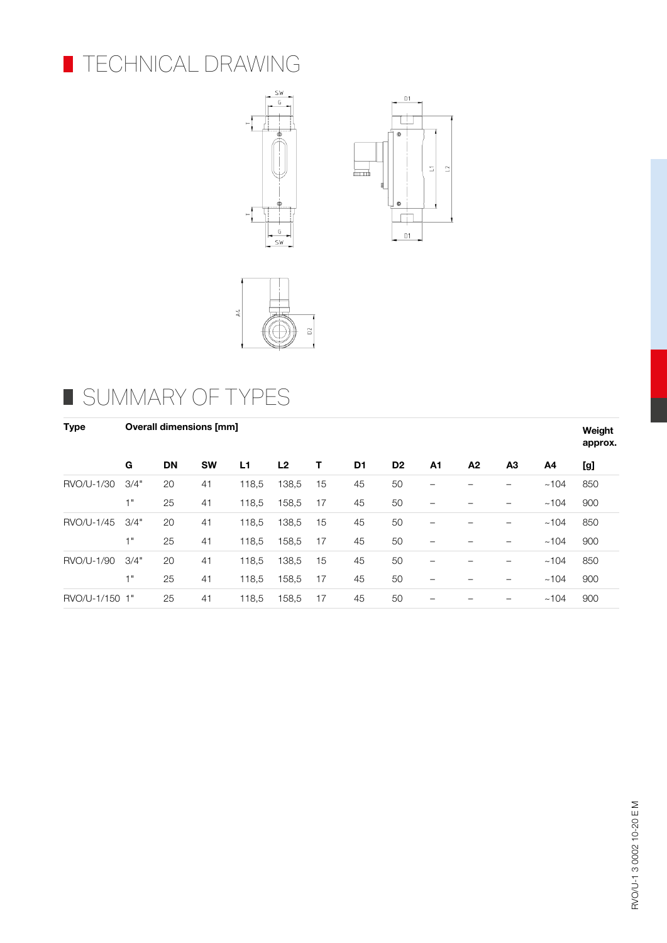







## SUMMARY OF TYPES

| <b>Type</b>    | <b>Overall dimensions [mm]</b> |           |           |       |                |    |                |                | Weight<br>approx. |    |    |      |     |
|----------------|--------------------------------|-----------|-----------|-------|----------------|----|----------------|----------------|-------------------|----|----|------|-----|
|                | G                              | <b>DN</b> | <b>SW</b> | L1    | L <sub>2</sub> | т  | D <sub>1</sub> | D <sub>2</sub> | A1                | A2 | A3 | A4   | [g] |
| RVO/U-1/30     | 3/4"                           | 20        | 41        | 118,5 | 138,5          | 15 | 45             | 50             | -                 |    |    | ~104 | 850 |
|                | 4 H                            | 25        | 41        | 118,5 | 158,5          | 17 | 45             | 50             |                   |    |    | ~104 | 900 |
| RVO/U-1/45     | 3/4"                           | 20        | 41        | 118,5 | 138,5          | 15 | 45             | 50             | -                 |    | -  | ~104 | 850 |
|                | 4 H                            | 25        | 41        | 118,5 | 158,5          | 17 | 45             | 50             |                   |    |    | ~104 | 900 |
| RVO/U-1/90     | 3/4"                           | 20        | 41        | 118,5 | 138,5          | 15 | 45             | 50             | -                 |    |    | ~104 | 850 |
|                | 4 H                            | 25        | 41        | 118,5 | 158,5          | 17 | 45             | 50             | -                 |    |    | ~104 | 900 |
| RVO/U-1/150 1" |                                | 25        | 41        | 118,5 | 158.5          | 17 | 45             | 50             |                   |    |    | ~104 | 900 |